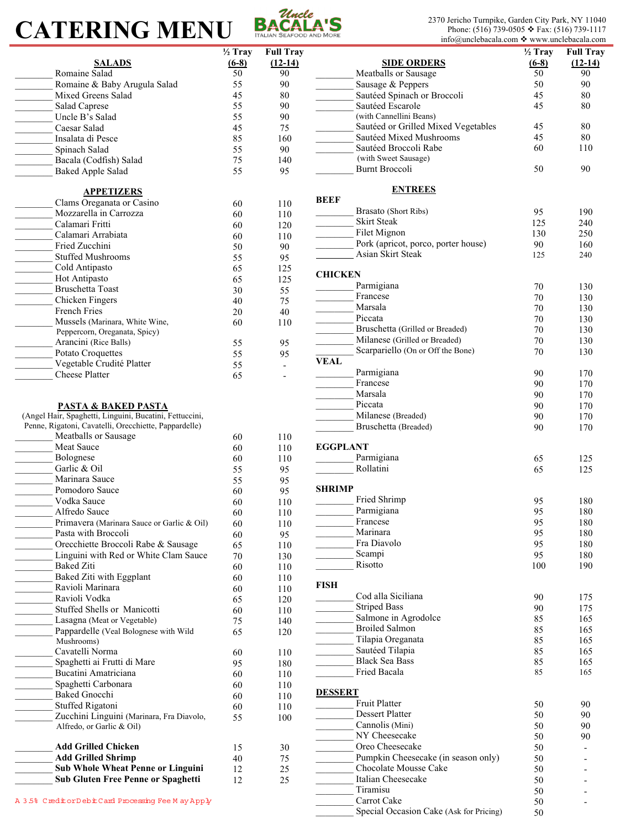## **CATERING MENU BACALA'S**



2370 Jericho Turnpike, Garden City Park, NY 11040<br>Phone: (516) 739-0505  $\div$  Fax: (516) 739-1117 info@unclebacala.com  $\bullet$  www.unclebacala.com

|                                                         | $\overline{\frac{1}{2}}$ Tray |                          |                                         | $\frac{1}{2}$ Tray | <b>Full Tray</b> |
|---------------------------------------------------------|-------------------------------|--------------------------|-----------------------------------------|--------------------|------------------|
|                                                         |                               | <b>Full Tray</b>         |                                         |                    |                  |
| <b>SALADS</b>                                           | $(6-8)$                       | $(12-14)$                | <b>SIDE ORDERS</b>                      | $(6-8)$            | $(12-14)$        |
| Romaine Salad                                           | 50                            | 90                       | Meatballs or Sausage                    | 50                 | 90               |
| Romaine & Baby Arugula Salad                            | 55                            | 90                       | Sausage & Peppers                       | 50                 | 90               |
| Mixed Greens Salad                                      | 45                            | 80                       | Sautéed Spinach or Broccoli             | 45                 | $80\,$           |
| Salad Caprese                                           | 55                            | 90                       | Sautéed Escarole                        | 45                 | 80               |
| Uncle B's Salad                                         | 55                            | 90                       | (with Cannellini Beans)                 |                    |                  |
|                                                         |                               |                          | Sautéed or Grilled Mixed Vegetables     |                    | 80               |
| Caesar Salad                                            | 45                            | 75                       |                                         | 45                 |                  |
| Insalata di Pesce                                       | 85                            | 160                      | Sautéed Mixed Mushrooms                 | 45                 | 80               |
| Spinach Salad                                           | 55                            | 90                       | Sautéed Broccoli Rabe                   | 60                 | 110              |
| Bacala (Codfish) Salad                                  | 75                            | 140                      | (with Sweet Sausage)                    |                    |                  |
| <b>Baked Apple Salad</b>                                | 55                            | 95                       | Burnt Broccoli                          | 50                 | 90               |
|                                                         |                               |                          |                                         |                    |                  |
| <b>APPETIZERS</b>                                       |                               |                          | <b>ENTREES</b>                          |                    |                  |
|                                                         |                               |                          | <b>BEEF</b>                             |                    |                  |
| Clams Oreganata or Casino                               | 60                            | 110                      | Brasato (Short Ribs)                    | 95                 |                  |
| Mozzarella in Carrozza                                  | 60                            | 110                      |                                         |                    | 190              |
| Calamari Fritti                                         | 60                            | 120                      | <b>Skirt Steak</b>                      | 125                | 240              |
| Calamari Arrabiata                                      | 60                            | 110                      | Filet Mignon                            | 130                | 250              |
| Fried Zucchini                                          | 50                            | 90                       | Pork (apricot, porco, porter house)     | 90                 | 160              |
| <b>Stuffed Mushrooms</b>                                | 55                            | 95                       | Asian Skirt Steak                       | 125                | 240              |
| Cold Antipasto                                          |                               |                          |                                         |                    |                  |
|                                                         | 65                            | 125                      | <b>CHICKEN</b>                          |                    |                  |
| Hot Antipasto                                           | 65                            | 125                      | Parmigiana                              | 70                 | 130              |
| <b>Bruschetta Toast</b>                                 | 30                            | 55                       |                                         |                    |                  |
| Chicken Fingers                                         | 40                            | 75                       | Francese                                | 70                 | 130              |
| French Fries                                            | 20                            | 40                       | Marsala                                 | 70                 | 130              |
| Mussels (Marinara, White Wine,                          | 60                            | 110                      | Piccata                                 | 70                 | 130              |
| Peppercorn, Oreganata, Spicy)                           |                               |                          | Bruschetta (Grilled or Breaded)         | 70                 | 130              |
|                                                         |                               |                          | Milanese (Grilled or Breaded)           | 70                 | 130              |
| Arancini (Rice Balls)                                   | 55                            | 95                       | Scarpariello (On or Off the Bone)       |                    |                  |
| Potato Croquettes                                       | 55                            | 95                       |                                         | 70                 | 130              |
| Vegetable Crudité Platter                               | 55                            | $\mathbf{r}$             | <b>VEAL</b>                             |                    |                  |
| Cheese Platter                                          | 65                            | $\overline{\phantom{a}}$ | Parmigiana                              | 90                 | 170              |
|                                                         |                               |                          | Francese                                | 90                 | 170              |
|                                                         |                               |                          | Marsala                                 | 90                 | 170              |
| <b>PASTA &amp; BAKED PASTA</b>                          |                               |                          | Piccata                                 | 90                 | 170              |
| (Angel Hair, Spaghetti, Linguini, Bucatini, Fettuccini, |                               |                          | Milanese (Breaded)                      |                    |                  |
|                                                         |                               |                          |                                         | 90                 | 170              |
| Penne, Rigatoni, Cavatelli, Orecchiette, Pappardelle)   |                               |                          | Bruschetta (Breaded)                    | 90                 | 170              |
| Meatballs or Sausage                                    | 60                            | 110                      |                                         |                    |                  |
| Meat Sauce                                              | 60                            | 110                      | <b>EGGPLANT</b>                         |                    |                  |
| Bolognese                                               | 60                            | 110                      | Parmigiana                              | 65                 | 125              |
| Garlic & Oil                                            | 55                            | 95                       | Rollatini                               | 65                 | 125              |
| Marinara Sauce                                          | 55                            | 95                       |                                         |                    |                  |
| Pomodoro Sauce                                          |                               |                          | <b>SHRIMP</b>                           |                    |                  |
|                                                         | 60                            | 95                       | Fried Shrimp                            |                    |                  |
| Vodka Sauce                                             | 60                            | 110                      |                                         | 95                 | 180              |
| Alfredo Sauce                                           | 60                            | $110\,$                  | Parmigiana                              | 95                 | 180              |
| Primavera (Marinara Sauce or Garlic & Oil)              | 60                            | 110                      | Francese                                | 95                 | 180              |
| Pasta with Broccoli                                     | 60                            | 95                       | Marinara                                | 95                 | 180              |
| Orecchiette Broccoli Rabe & Sausage                     | 65                            | 110                      | Fra Diavolo                             | 95                 | 180              |
| Linguini with Red or White Clam Sauce                   |                               |                          | Scampi                                  | 95                 | 180              |
|                                                         | $70\,$                        | 130                      | Risotto                                 |                    |                  |
| <b>Baked Ziti</b>                                       | 60                            | 110                      |                                         | 100                | 190              |
| Baked Ziti with Eggplant                                | 60                            | 110                      |                                         |                    |                  |
| Ravioli Marinara                                        | 60                            | 110                      | <b>FISH</b>                             |                    |                  |
| Ravioli Vodka                                           | 65                            | 120                      | Cod alla Siciliana                      | 90                 | 175              |
| Stuffed Shells or Manicotti                             | 60                            | 110                      | <b>Striped Bass</b>                     | 90                 | 175              |
| Lasagna (Meat or Vegetable)                             |                               |                          | Salmone in Agrodolce                    | 85                 | 165              |
|                                                         | 75                            | 140                      | <b>Broiled Salmon</b>                   | 85                 | 165              |
| Pappardelle (Veal Bolognese with Wild                   | 65                            | 120                      |                                         |                    |                  |
| Mushrooms)                                              |                               |                          | Tilapia Oreganata                       | 85                 | 165              |
| Cavatelli Norma                                         | 60                            | 110                      | Sautéed Tilapia                         | 85                 | 165              |
| Spaghetti ai Frutti di Mare                             | 95                            | 180                      | <b>Black Sea Bass</b>                   | 85                 | 165              |
| Bucatini Amatriciana                                    | 60                            | 110                      | Fried Bacala                            | 85                 | 165              |
| Spaghetti Carbonara                                     | 60                            | 110                      |                                         |                    |                  |
|                                                         |                               |                          | <b>DESSERT</b>                          |                    |                  |
| Baked Gnocchi                                           | 60                            | 110                      | Fruit Platter                           |                    |                  |
| Stuffed Rigatoni                                        | 60                            | 110                      |                                         | 50                 | 90               |
| Zucchini Linguini (Marinara, Fra Diavolo,               | 55                            | 100                      | <b>Dessert Platter</b>                  | 50                 | 90               |
| Alfredo, or Garlic & Oil)                               |                               |                          | Cannolis (Mini)                         | 50                 | 90               |
|                                                         |                               |                          | NY Cheesecake                           | 50                 | 90               |
| <b>Add Grilled Chicken</b>                              | 15                            | 30                       | Oreo Cheesecake                         | 50                 |                  |
| <b>Add Grilled Shrimp</b>                               | 40                            | 75                       | Pumpkin Cheesecake (in season only)     | 50                 |                  |
| <b>Sub Whole Wheat Penne or Linguini</b>                |                               | 25                       | Chocolate Mousse Cake                   | $50\,$             |                  |
|                                                         | 12                            |                          |                                         |                    |                  |
| Sub Gluten Free Penne or Spaghetti                      | 12                            | 25                       | Italian Cheesecake                      | 50                 |                  |
|                                                         |                               |                          | Tiramisu                                | 50                 |                  |
| A 3.5% Credit or Debit Card Processing Fee May Apply    |                               |                          | Carrot Cake                             | $50\,$             |                  |
|                                                         |                               |                          | Special Occasion Cake (Ask for Pricing) | 50                 |                  |